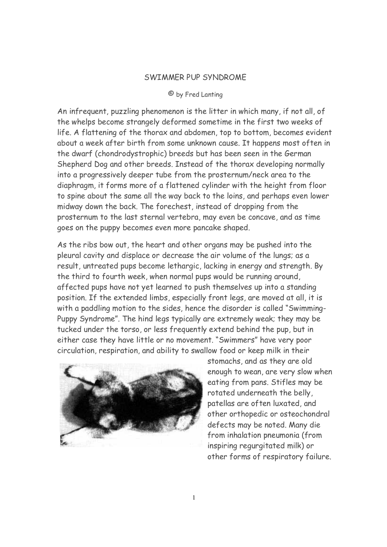## SWIMMER PUP SYNDROME

## © by Fred Lanting

An infrequent, puzzling phenomenon is the litter in which many, if not all, of the whelps become strangely deformed sometime in the first two weeks of life. A flattening of the thorax and abdomen, top to bottom, becomes evident about a week after birth from some unknown cause. It happens most often in the dwarf (chondrodystrophic) breeds but has been seen in the German Shepherd Dog and other breeds. Instead of the thorax developing normally into a progressively deeper tube from the prosternum/neck area to the diaphragm, it forms more of a flattened cylinder with the height from floor to spine about the same all the way back to the loins, and perhaps even lower midway down the back. The forechest, instead of dropping from the prosternum to the last sternal vertebra, may even be concave, and as time goes on the puppy becomes even more pancake shaped.

As the ribs bow out, the heart and other organs may be pushed into the pleural cavity and displace or decrease the air volume of the lungs; as a result, untreated pups become lethargic, lacking in energy and strength. By the third to fourth week, when normal pups would be running around, affected pups have not yet learned to push themselves up into a standing position. If the extended limbs, especially front legs, are moved at all, it is with a paddling motion to the sides, hence the disorder is called "Swimming-Puppy Syndrome". The hind legs typically are extremely weak; they may be tucked under the torso, or less frequently extend behind the pup, but in either case they have little or no movement. "Swimmers" have very poor circulation, respiration, and ability to swallow food or keep milk in their



stomachs, and as they are old enough to wean, are very slow when eating from pans. Stifles may be rotated underneath the belly, patellas are often luxated, and other orthopedic or osteochondral defects may be noted. Many die from inhalation pneumonia (from inspiring regurgitated milk) or other forms of respiratory failure.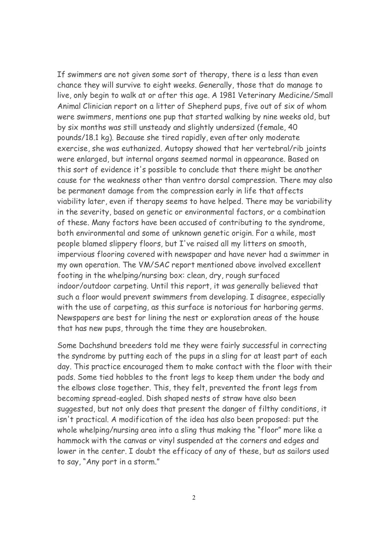If swimmers are not given some sort of therapy, there is a less than even chance they will survive to eight weeks. Generally, those that do manage to live, only begin to walk at or after this age. A 1981 Veterinary Medicine/Small Animal Clinician report on a litter of Shepherd pups, five out of six of whom were swimmers, mentions one pup that started walking by nine weeks old, but by six months was still unsteady and slightly undersized (female, 40 pounds/18.1 kg). Because she tired rapidly, even after only moderate exercise, she was euthanized. Autopsy showed that her vertebral/rib joints were enlarged, but internal organs seemed normal in appearance. Based on this sort of evidence it's possible to conclude that there might be another cause for the weakness other than ventro dorsal compression. There may also be permanent damage from the compression early in life that affects viability later, even if therapy seems to have helped. There may be variability in the severity, based on genetic or environmental factors, or a combination of these. Many factors have been accused of contributing to the syndrome, both environmental and some of unknown genetic origin. For a while, most people blamed slippery floors, but I've raised all my litters on smooth, impervious flooring covered with newspaper and have never had a swimmer in my own operation. The VM/SAC report mentioned above involved excellent footing in the whelping/nursing box: clean, dry, rough surfaced indoor/outdoor carpeting. Until this report, it was generally believed that such a floor would prevent swimmers from developing. I disagree, especially with the use of carpeting, as this surface is notorious for harboring germs. Newspapers are best for lining the nest or exploration areas of the house that has new pups, through the time they are housebroken.

Some Dachshund breeders told me they were fairly successful in correcting the syndrome by putting each of the pups in a sling for at least part of each day. This practice encouraged them to make contact with the floor with their pads. Some tied hobbles to the front legs to keep them under the body and the elbows close together. This, they felt, prevented the front legs from becoming spread-eagled. Dish shaped nests of straw have also been suggested, but not only does that present the danger of filthy conditions, it isn't practical. A modification of the idea has also been proposed: put the whole whelping/nursing area into a sling thus making the "floor" more like a hammock with the canvas or vinyl suspended at the corners and edges and lower in the center. I doubt the efficacy of any of these, but as sailors used to say, "Any port in a storm."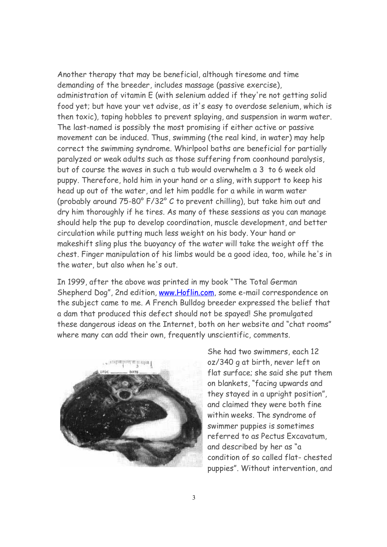Another therapy that may be beneficial, although tiresome and time demanding of the breeder, includes massage (passive exercise), administration of vitamin E (with selenium added if they're not getting solid food yet; but have your vet advise, as it's easy to overdose selenium, which is then toxic), taping hobbles to prevent splaying, and suspension in warm water. The last-named is possibly the most promising if either active or passive movement can be induced. Thus, swimming (the real kind, in water) may help correct the swimming syndrome. Whirlpool baths are beneficial for partially paralyzed or weak adults such as those suffering from coonhound paralysis, but of course the waves in such a tub would overwhelm a 3 to 6 week old puppy. Therefore, hold him in your hand or a sling, with support to keep his head up out of the water, and let him paddle for a while in warm water (probably around 75-80° F/32° C to prevent chilling), but take him out and dry him thoroughly if he tires. As many of these sessions as you can manage should help the pup to develop coordination, muscle development, and better circulation while putting much less weight on his body. Your hand or makeshift sling plus the buoyancy of the water will take the weight off the chest. Finger manipulation of his limbs would be a good idea, too, while he's in the water, but also when he's out.

In 1999, after the above was printed in my book "The Total German Shepherd Dog", 2nd edition, [www.Hoflin.com](http://www.Hoflin.com), some e-mail correspondence on the subject came to me. A French Bulldog breeder expressed the belief that a dam that produced this defect should not be spayed! She promulgated these dangerous ideas on the Internet, both on her website and "chat rooms" where many can add their own, frequently unscientific, comments.



She had two swimmers, each 12 oz/340 g at birth, never left on flat surface; she said she put them on blankets, "facing upwards and they stayed in a upright position", and claimed they were both fine within weeks. The syndrome of swimmer puppies is sometimes referred to as Pectus Excavatum, and described by her as "a condition of so called flat- chested puppies". Without intervention, and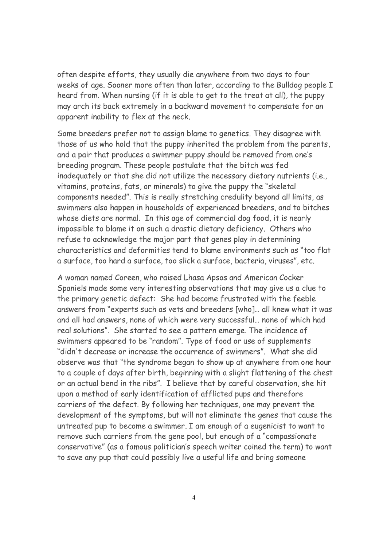often despite efforts, they usually die anywhere from two days to four weeks of age. Sooner more often than later, according to the Bulldog people I heard from. When nursing (if it is able to get to the treat at all), the puppy may arch its back extremely in a backward movement to compensate for an apparent inability to flex at the neck.

Some breeders prefer not to assign blame to genetics. They disagree with those of us who hold that the puppy inherited the problem from the parents, and a pair that produces a swimmer puppy should be removed from one's breeding program. These people postulate that the bitch was fed inadequately or that she did not utilize the necessary dietary nutrients (i.e., vitamins, proteins, fats, or minerals) to give the puppy the "skeletal components needed". This is really stretching credulity beyond all limits, as swimmers also happen in households of experienced breeders, and to bitches whose diets are normal. In this age of commercial dog food, it is nearly impossible to blame it on such a drastic dietary deficiency. Others who refuse to acknowledge the major part that genes play in determining characteristics and deformities tend to blame environments such as "too flat a surface, too hard a surface, too slick a surface, bacteria, viruses", etc.

A woman named Coreen, who raised Lhasa Apsos and American Cocker Spaniels made some very interesting observations that may give us a clue to the primary genetic defect: She had become frustrated with the feeble answers from "experts such as vets and breeders [who]… all knew what it was and all had answers, none of which were very successful… none of which had real solutions". She started to see a pattern emerge. The incidence of swimmers appeared to be "random". Type of food or use of supplements "didn't decrease or increase the occurrence of swimmers". What she did observe was that "the syndrome began to show up at anywhere from one hour to a couple of days after birth, beginning with a slight flattening of the chest or an actual bend in the ribs". I believe that by careful observation, she hit upon a method of early identification of afflicted pups and therefore carriers of the defect. By following her techniques, one may prevent the development of the symptoms, but will not eliminate the genes that cause the untreated pup to become a swimmer. I am enough of a eugenicist to want to remove such carriers from the gene pool, but enough of a "compassionate conservative" (as a famous politician's speech writer coined the term) to want to save any pup that could possibly live a useful life and bring someone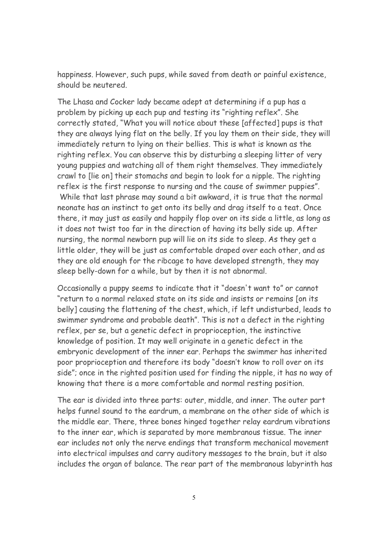happiness. However, such pups, while saved from death or painful existence, should be neutered.

The Lhasa and Cocker lady became adept at determining if a pup has a problem by picking up each pup and testing its "righting reflex". She correctly stated, "What you will notice about these [affected] pups is that they are always lying flat on the belly. If you lay them on their side, they will immediately return to lying on their bellies. This is what is known as the righting reflex. You can observe this by disturbing a sleeping litter of very young puppies and watching all of them right themselves. They immediately crawl to [lie on] their stomachs and begin to look for a nipple. The righting reflex is the first response to nursing and the cause of swimmer puppies". While that last phrase may sound a bit awkward, it is true that the normal neonate has an instinct to get onto its belly and drag itself to a teat. Once there, it may just as easily and happily flop over on its side a little, as long as it does not twist too far in the direction of having its belly side up. After nursing, the normal newborn pup will lie on its side to sleep. As they get a little older, they will be just as comfortable draped over each other, and as they are old enough for the ribcage to have developed strength, they may sleep belly-down for a while, but by then it is not abnormal.

Occasionally a puppy seems to indicate that it "doesn't want to" or cannot "return to a normal relaxed state on its side and insists or remains [on its belly] causing the flattening of the chest, which, if left undisturbed, leads to swimmer syndrome and probable death". This is not a defect in the righting reflex, per se, but a genetic defect in proprioception, the instinctive knowledge of position. It may well originate in a genetic defect in the embryonic development of the inner ear. Perhaps the swimmer has inherited poor proprioception and therefore its body "doesn't know to roll over on its side"; once in the righted position used for finding the nipple, it has no way of knowing that there is a more comfortable and normal resting position.

The ear is divided into three parts: outer, middle, and inner. The outer part helps funnel sound to the eardrum, a membrane on the other side of which is the middle ear. There, three bones hinged together relay eardrum vibrations to the inner ear, which is separated by more membranous tissue. The inner ear includes not only the nerve endings that transform mechanical movement into electrical impulses and carry auditory messages to the brain, but it also includes the organ of balance. The rear part of the membranous labyrinth has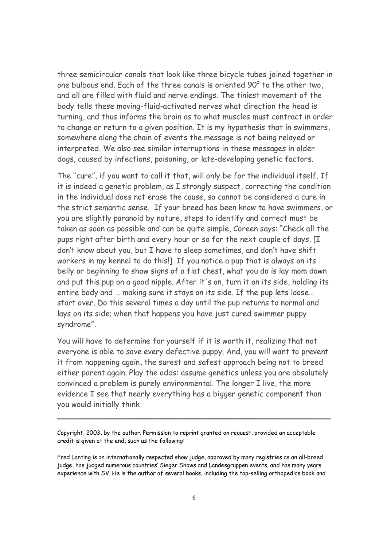three semicircular canals that look like three bicycle tubes joined together in one bulbous end. Each of the three canals is oriented 90° to the other two, and all are filled with fluid and nerve endings. The tiniest movement of the body tells these moving-fluid-activated nerves what direction the head is turning, and thus informs the brain as to what muscles must contract in order to change or return to a given position. It is my hypothesis that in swimmers, somewhere along the chain of events the message is not being relayed or interpreted. We also see similar interruptions in these messages in older dogs, caused by infections, poisoning, or late-developing genetic factors.

The "cure", if you want to call it that, will only be for the individual itself. If it is indeed a genetic problem, as I strongly suspect, correcting the condition in the individual does not erase the cause, so cannot be considered a cure in the strict semantic sense. If your breed has been know to have swimmers, or you are slightly paranoid by nature, steps to identify and correct must be taken as soon as possible and can be quite simple, Coreen says: "Check all the pups right after birth and every hour or so for the next couple of days. [I don't know about you, but I have to sleep sometimes, and don't have shift workers in my kennel to do this!] If you notice a pup that is always on its belly or beginning to show signs of a flat chest, what you do is lay mom down and put this pup on a good nipple. After it's on, turn it on its side, holding its entire body and … making sure it stays on its side. If the pup lets loose… start over. Do this several times a day until the pup returns to normal and lays on its side; when that happens you have just cured swimmer puppy syndrome".

You will have to determine for yourself if it is worth it, realizing that not everyone is able to save every defective puppy. And, you will want to prevent it from happening again, the surest and safest approach being not to breed either parent again. Play the odds: assume genetics unless you are absolutely convinced a problem is purely environmental. The longer I live, the more evidence I see that nearly everything has a bigger genetic component than you would initially think.

Copyright, 2003, by the author. Permission to reprint granted on request, provided an acceptable credit is given at the end, such as the following:

Fred Lanting is an internationally respected show judge, approved by many registries as an all-breed judge, has judged numerous countries' Sieger Shows and Landesgruppen events, and has many years experience with SV. He is the author of several books, including the top-selling orthopedics book and